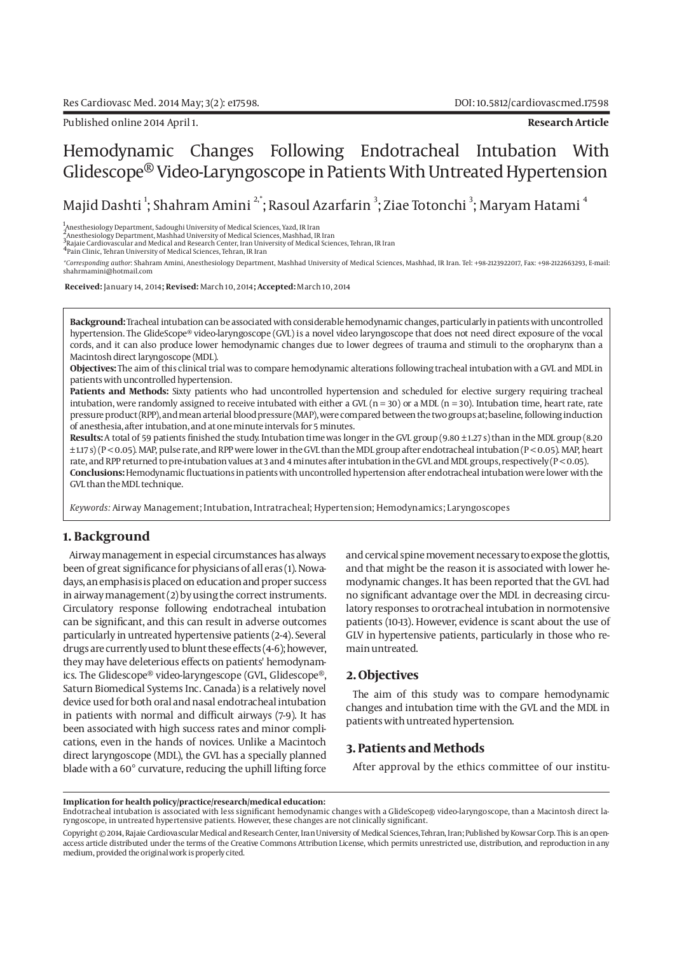Published online 2014 April 1. **Research Article**

# Hemodynamic Changes Following Endotracheal Intubation With Glidescope® Video-Laryngoscope in Patients With Untreated Hypertension

Majid Dashti  $\ddagger$ ; Shahram Amini  $^{2, \dagger}$ ; Rasoul Azarfarin  $^{3}$ ; Ziae Totonchi  $^{3}$ ; Maryam Hatami  $^{4}$ 

1 Anesthesiology Department, Sadoughi University of Medical Sciences, Yazd, IR Iran 2 Anesthesiology Department, Mashhad University of Medical Sciences, Mashhad, IR Iran

3<br><sup>3</sup>Rajaie Cardiovascular and Medical and Research Center, Iran University of Medical Sciences, Tehran, IR Iran<br><sup>4</sup>Pain Clinic, Tehran University of Medical Sciences, Tehran, IR Iran

*\*Corresponding author*: Shahram Amini, Anesthesiology Department, Mashhad University of Medical Sciences, Mashhad, IR Iran. Tel: +98-2123922017, Fax: +98-2122663293, E-mail: shahrmamini@hotmail.com

 **Received:** January 14, 2014**; Revised:** March 10, 2014**; Accepted:** March 10, 2014

**Background:** Tracheal intubation can be associated with considerable hemodynamic changes, particularly in patients with uncontrolled hypertension. The GlideScope® video-laryngoscope (GVL) is a novel video laryngoscope that does not need direct exposure of the vocal cords, and it can also produce lower hemodynamic changes due to lower degrees of trauma and stimuli to the oropharynx than a Macintosh direct laryngoscope (MDL).

**Objectives:** The aim of this clinical trial was to compare hemodynamic alterations following tracheal intubation with a GVL and MDL in patients with uncontrolled hypertension.

**Patients and Methods:** Sixty patients who had uncontrolled hypertension and scheduled for elective surgery requiring tracheal intubation, were randomly assigned to receive intubated with either a GVL ( $n = 30$ ) or a MDL ( $n = 30$ ). Intubation time, heart rate, rate pressure product (RPP), and mean arterial blood pressure (MAP), were compared between the two groups at; baseline, following induction of anesthesia, after intubation, and at one minute intervals for 5 minutes.

**Results:** A total of 59 patients finished the study. Intubation time was longer in the GVL group (9.80 ± 1.27 s) than in the MDL group (8.20 ± 1.17 s) (P < 0.05). MAP, pulse rate, and RPP were lower in the GVL than the MDL group after endotracheal intubation (P < 0.05). MAP, heart rate, and RPP returned to pre-intubation values at 3 and 4 minutes after intubation in the GVL and MDL groups, respectively (P < 0.05). **Conclusions:** Hemodynamic fluctuations in patients with uncontrolled hypertension after endotracheal intubation were lower with the GVL than the MDL technique.

*Keywords:* Airway Management; Intubation, Intratracheal; Hypertension; Hemodynamics; Laryngoscopes

# **1. Background**

Airway management in especial circumstances has always been of great significance for physicians of all eras (1). Nowadays, an emphasis is placed on education and proper success in airway management (2) by using the correct instruments. Circulatory response following endotracheal intubation can be significant, and this can result in adverse outcomes particularly in untreated hypertensive patients (2-4). Several drugs are currently used to blunt these effects (4-6); however, they may have deleterious effects on patients' hemodynamics. The Glidescope® video-laryngescope (GVL, Glidescope®, Saturn Biomedical Systems Inc. Canada) is a relatively novel device used for both oral and nasal endotracheal intubation in patients with normal and difficult airways (7-9). It has been associated with high success rates and minor complications, even in the hands of novices. Unlike a Macintoch direct laryngoscope (MDL), the GVL has a specially planned blade with a 60° curvature, reducing the uphill lifting force

and cervical spine movement necessary to expose the glottis, and that might be the reason it is associated with lower hemodynamic changes. It has been reported that the GVL had no significant advantage over the MDL in decreasing circulatory responses to orotracheal intubation in normotensive patients (10-13). However, evidence is scant about the use of GLV in hypertensive patients, particularly in those who remain untreated.

## **2. Objectives**

The aim of this study was to compare hemodynamic changes and intubation time with the GVL and the MDL in patients with untreated hypertension.

# **3. Patients and Methods**

After approval by the ethics committee of our institu-

#### **Implication for health policy/practice/research/medical education:**

Endotracheal intubation is associated with less significant hemodynamic changes with a GlideScope® video-laryngoscope, than a Macintosh direct laryngoscope, in untreated hypertensive patients. However, these changes are not clinically significant.

Copyright © 2014, Rajaie Cardiovascular Medical and Research Center, Iran University of Medical Sciences, Tehran, Iran; Published by Kowsar Corp. This is an openaccess article distributed under the terms of the Creative Commons Attribution License, which permits unrestricted use, distribution, and reproduction in any medium, provided the original work is properly cited.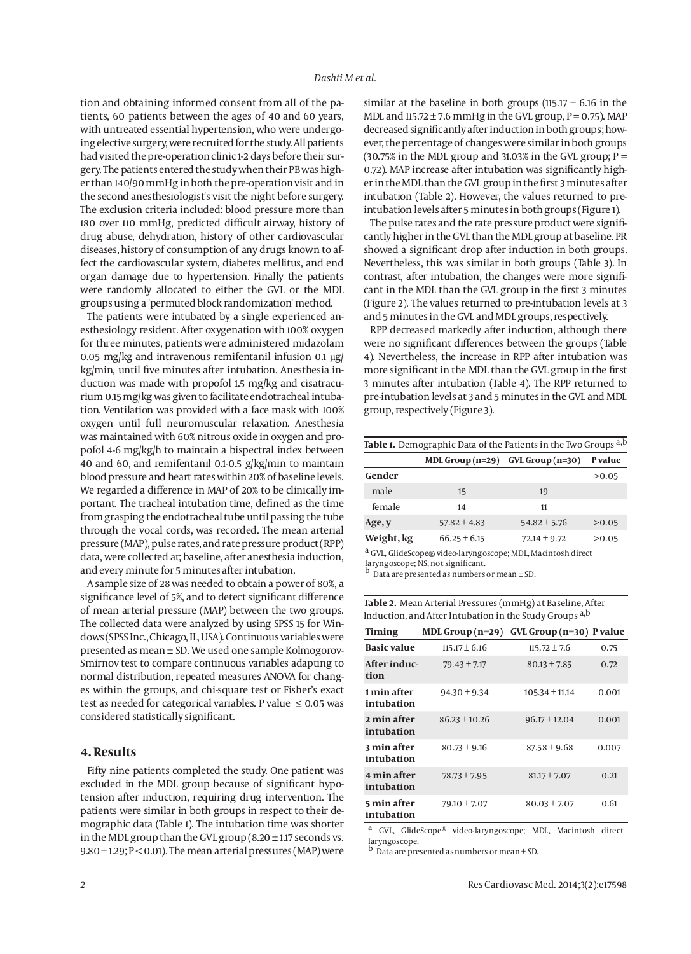tion and obtaining informed consent from all of the patients, 60 patients between the ages of 40 and 60 years, with untreated essential hypertension, who were undergoing elective surgery, were recruited for the study. All patients had visited the pre-operation clinic 1-2 days before their surgery. The patients entered the study when their PB was higher than 140/90 mmHg in both the pre-operation visit and in the second anesthesiologist's visit the night before surgery. The exclusion criteria included: blood pressure more than 180 over 110 mmHg, predicted difficult airway, history of drug abuse, dehydration, history of other cardiovascular diseases, history of consumption of any drugs known to affect the cardiovascular system, diabetes mellitus, and end organ damage due to hypertension. Finally the patients were randomly allocated to either the GVL or the MDL groups using a 'permuted block randomization' method.

The patients were intubated by a single experienced anesthesiology resident. After oxygenation with 100% oxygen for three minutes, patients were administered midazolam 0.05 mg/kg and intravenous remifentanil infusion 0.1 µg/ kg/min, until five minutes after intubation. Anesthesia induction was made with propofol 1.5 mg/kg and cisatracurium 0.15 mg/kg was given to facilitate endotracheal intubation. Ventilation was provided with a face mask with 100% oxygen until full neuromuscular relaxation. Anesthesia was maintained with 60% nitrous oxide in oxygen and propofol 4-6 mg/kg/h to maintain a bispectral index between 40 and 60, and remifentanil 0.1-0.5 g/kg/min to maintain blood pressure and heart rates within 20% of baseline levels. We regarded a difference in MAP of 20% to be clinically important. The tracheal intubation time, defined as the time from grasping the endotracheal tube until passing the tube through the vocal cords, was recorded. The mean arterial pressure (MAP), pulse rates, and rate pressure product (RPP) data, were collected at; baseline, after anesthesia induction, and every minute for 5 minutes after intubation.

A sample size of 28 was needed to obtain a power of 80%, a significance level of 5%, and to detect significant difference of mean arterial pressure (MAP) between the two groups. The collected data were analyzed by using SPSS 15 for Windows (SPSS Inc., Chicago, IL, USA). Continuous variables were presented as mean ± SD. We used one sample Kolmogorov-Smirnov test to compare continuous variables adapting to normal distribution, repeated measures ANOVA for changes within the groups, and chi-square test or Fisher's exact test as needed for categorical variables. P value  $\leq 0.05$  was considered statistically significant.

## **4. Results**

Fifty nine patients completed the study. One patient was excluded in the MDL group because of significant hypotension after induction, requiring drug intervention. The patients were similar in both groups in respect to their demographic data (Table 1). The intubation time was shorter in the MDL group than the GVL group  $(8.20 \pm 1.17 \text{ seconds vs.})$ 9.80  $\pm$  1.29; P < 0.01). The mean arterial pressures (MAP) were similar at the baseline in both groups (115.17  $\pm$  6.16 in the MDL and  $115.72 \pm 7.6$  mmHg in the GVL group,  $P = 0.75$ ). MAP decreased significantly after induction in both groups; however, the percentage of changes were similar in both groups (30.75% in the MDL group and 31.03% in the GVL group;  $P =$ 0.72). MAP increase after intubation was significantly higher in the MDL than the GVL group in the first 3 minutes after intubation (Table 2). However, the values returned to preintubation levels after 5 minutes in both groups (Figure 1).

The pulse rates and the rate pressure product were significantly higher in the GVL than the MDL group at baseline. PR showed a significant drop after induction in both groups. Nevertheless, this was similar in both groups (Table 3). In contrast, after intubation, the changes were more significant in the MDL than the GVL group in the first 3 minutes (Figure 2). The values returned to pre-intubation levels at 3 and 5 minutes in the GVL and MDL groups, respectively.

RPP decreased markedly after induction, although there were no significant differences between the groups (Table 4). Nevertheless, the increase in RPP after intubation was more significant in the MDL than the GVL group in the first 3 minutes after intubation (Table 4). The RPP returned to pre-intubation levels at 3 and 5 minutes in the GVL and MDL group, respectively (Figure 3).

| Table 1. Demographic Data of the Patients in the Two Groups a,b |                                       |                  |         |  |
|-----------------------------------------------------------------|---------------------------------------|------------------|---------|--|
|                                                                 | MDL Group $(n=29)$ GVL Group $(n=30)$ |                  | P value |  |
| Gender                                                          |                                       |                  | >0.05   |  |
| male                                                            | 15                                    | 19               |         |  |
| female                                                          | 14                                    | 11               |         |  |
| Age, y                                                          | $57.82 \pm 4.83$                      | $54.82 \pm 5.76$ | >0.05   |  |
| Weight, kg                                                      | $66.25 \pm 6.15$                      | $72.14 \pm 9.72$ | >0.05   |  |
|                                                                 |                                       |                  |         |  |

a GVL, GlideScope® video-laryngoscope; MDL, Macintosh direct

laryngoscope; NS, not significant.

 $\overrightarrow{b}$  Data are presented as numbers or mean  $\pm$  SD.

| Table 2. Mean Arterial Pressures (mmHg) at Baseline, After |  |
|------------------------------------------------------------|--|
| Induction, and After Intubation in the Study Groups a,b    |  |

| <b>Timing</b>             | MDL Group $(n=29)$ | GVL Group (n=30) P value |       |
|---------------------------|--------------------|--------------------------|-------|
| <b>Basic value</b>        | $115.17 \pm 6.16$  | $115.72 \pm 7.6$         | 0.75  |
| After induc-<br>tion      | $79.43 \pm 7.17$   | $80.13 \pm 7.85$         | 0.72  |
| 1 min after<br>intubation | $94.30 \pm 9.34$   | $105.34 \pm 11.14$       | 0.001 |
| 2 min after<br>intubation | $86.23 \pm 10.26$  | $96.17 \pm 12.04$        | 0.001 |
| 3 min after<br>intubation | $80.73 \pm 9.16$   | $87.58 \pm 9.68$         | 0.007 |
| 4 min after<br>intubation | $78.73 \pm 7.95$   | $81.17 \pm 7.07$         | 0.21  |
| 5 min after<br>intubation | $79.10 \pm 7.07$   | $80.03 \pm 7.07$         | 0.61  |

a GVL, GlideScope® video-laryngoscope; MDL, Macintosh direct laryngoscope.<br>b Data are ...

Data are presented as numbers or mean  $\pm$  SD.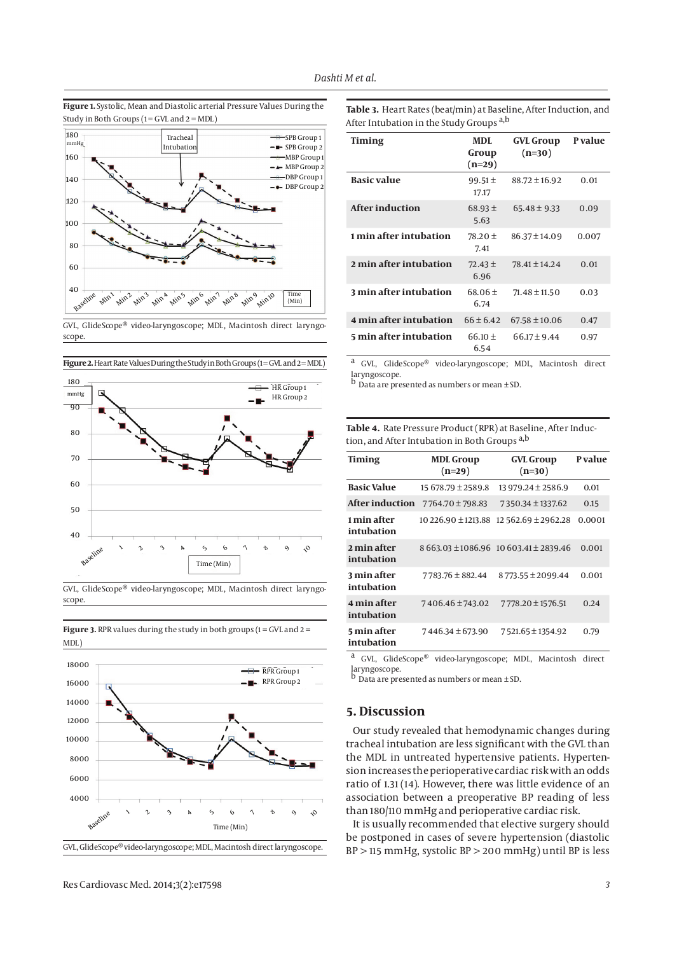**Figure 1.** Systolic, Mean and Diastolic arterial Pressure Values During the Study in Both Groups  $(1 = GVL$  and  $2 = MDL)$ 



GVL, GlideScope® video-laryngoscope; MDL, Macintosh direct laryngoscope.



**Figure 2.** Heart Rate Values During the Study in Both Groups (1=GVL and 2=MDL)

scope.

**Figure 3.** RPR values during the study in both groups  $(1 = GVL$  and  $2 = T$ 

MDL)

18000 16000 14000 12000 10000 8000 6000 4000 RPR Group 1 RPR Group 2 Baselin Time (Min) e123 4 $\acute{\,}$ 61 89  $\sim$ GVL, GlideScope® video-laryngoscope; MDL, Macintosh direct laryngoscope. **Table 3.** Heart Rates (beat/min) at Baseline, After Induction, and After Intubation in the Study Groups a,b

| <b>Timing</b>          | MDL.<br>Group<br>$(n=29)$ | <b>GVL Group</b><br>$(n=30)$ | P value |
|------------------------|---------------------------|------------------------------|---------|
| <b>Basic value</b>     | $99.51 \pm$<br>17.17      | $88.72 \pm 16.92$            | 0.01    |
| After induction        | $68.93 \pm$<br>5.63       | $65.48 \pm 9.33$             | 0.09    |
| 1 min after intubation | $78.20 \pm$<br>7.41       | $86.37 \pm 14.09$            | 0.007   |
| 2 min after intubation | $72.43 \pm$<br>6.96       | 78.41 ± 14.24                | 0.01    |
| 3 min after intubation | $68.06 \pm$<br>6.74       | $71.48 \pm 11.50$            | 0.03    |
| 4 min after intubation | $66 \pm 6.42$             | $67.58 \pm 10.06$            | 0.47    |
| 5 min after intubation | $66.10 \pm$<br>6.54       | $66.17 \pm 9.44$             | 0.97    |

a GVL, GlideScope® video-laryngoscope; MDL, Macintosh direct

laryngoscope. b Data are presented as numbers or mean ± SD.

**Table 4.** Rate Pressure Product (RPR) at Baseline, After Induction, and After Intubation in Both Groups a,b

| <b>Timing</b>             | <b>MDL Group</b><br>$(n=29)$ | <b>GVL Group</b><br>$(n=30)$           | <b>P</b> value |
|---------------------------|------------------------------|----------------------------------------|----------------|
| <b>Basic Value</b>        | $15678.79 \pm 2589.8$        | $13979.24 \pm 2586.9$                  | 0.01           |
| After induction           | $7764.70 \pm 798.83$         | 7350.34 ± 1337.62                      | 0.15           |
| 1 min after<br>intubation | 10 226.90 ± 1213.88          | $12562.69 \pm 2962.28$                 | 0.0001         |
| 2 min after<br>intubation |                              | 8 663.03 ± 1086.96 10 603.41 ± 2839.46 | 0.001          |
| 3 min after<br>intubation | 7783.76 ± 882.44             | $8773.55 \pm 2099.44$                  | 0.001          |
| 4 min after<br>intubation | 7406.46 ± 743.02             | 7778.20 ± 1576.51                      | 0.24           |
| 5 min after<br>intubation | $7446.34 \pm 673.90$         | 7521.65 ± 1354.92                      | 0.79           |

a GVL, GlideScope® video-laryngoscope; MDL, Macintosh direct laryngoscope. b Data are presented as numbers or mean ± SD.

## **5. Discussion**

Our study revealed that hemodynamic changes during tracheal intubation are less significant with the GVL than the MDL in untreated hypertensive patients. Hypertension increases the perioperative cardiac risk with an odds ratio of 1.31 (14). However, there was little evidence of an association between a preoperative BP reading of less than 180/110 mmHg and perioperative cardiac risk.

It is usually recommended that elective surgery should be postponed in cases of severe hypertension (diastolic BP > 115 mmHg, systolic BP > 200 mmHg) until BP is less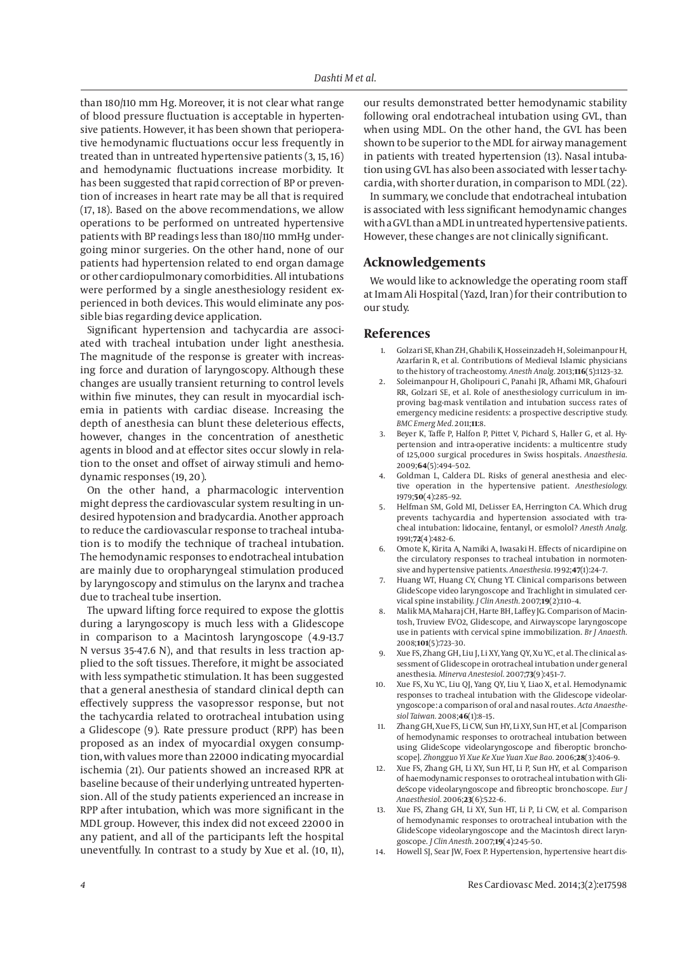than 180/110 mm Hg. Moreover, it is not clear what range of blood pressure fluctuation is acceptable in hypertensive patients. However, it has been shown that perioperative hemodynamic fluctuations occur less frequently in treated than in untreated hypertensive patients (3, 15, 16) and hemodynamic fluctuations increase morbidity. It has been suggested that rapid correction of BP or prevention of increases in heart rate may be all that is required (17, 18). Based on the above recommendations, we allow operations to be performed on untreated hypertensive patients with BP readings less than 180/110 mmHg undergoing minor surgeries. On the other hand, none of our patients had hypertension related to end organ damage or other cardiopulmonary comorbidities. All intubations were performed by a single anesthesiology resident experienced in both devices. This would eliminate any possible bias regarding device application.

Significant hypertension and tachycardia are associated with tracheal intubation under light anesthesia. The magnitude of the response is greater with increasing force and duration of laryngoscopy. Although these changes are usually transient returning to control levels within five minutes, they can result in myocardial ischemia in patients with cardiac disease. Increasing the depth of anesthesia can blunt these deleterious effects, however, changes in the concentration of anesthetic agents in blood and at effector sites occur slowly in relation to the onset and offset of airway stimuli and hemodynamic responses (19, 20).

On the other hand, a pharmacologic intervention might depress the cardiovascular system resulting in undesired hypotension and bradycardia. Another approach to reduce the cardiovascular response to tracheal intubation is to modify the technique of tracheal intubation. The hemodynamic responses to endotracheal intubation are mainly due to oropharyngeal stimulation produced by laryngoscopy and stimulus on the larynx and trachea due to tracheal tube insertion.

The upward lifting force required to expose the glottis during a laryngoscopy is much less with a Glidescope in comparison to a Macintosh laryngoscope (4.9-13.7 N versus 35-47.6 N), and that results in less traction applied to the soft tissues. Therefore, it might be associated with less sympathetic stimulation. It has been suggested that a general anesthesia of standard clinical depth can effectively suppress the vasopressor response, but not the tachycardia related to orotracheal intubation using a Glidescope (9). Rate pressure product (RPP) has been proposed as an index of myocardial oxygen consumption, with values more than 22000 indicating myocardial ischemia (21). Our patients showed an increased RPR at baseline because of their underlying untreated hypertension. All of the study patients experienced an increase in RPP after intubation, which was more significant in the MDL group. However, this index did not exceed 22000 in any patient, and all of the participants left the hospital uneventfully. In contrast to a study by Xue et al. (10, 11), our results demonstrated better hemodynamic stability following oral endotracheal intubation using GVL, than when using MDL. On the other hand, the GVL has been shown to be superior to the MDL for airway management in patients with treated hypertension (13). Nasal intubation using GVL has also been associated with lesser tachycardia, with shorter duration, in comparison to MDL (22).

In summary, we conclude that endotracheal intubation is associated with less significant hemodynamic changes with a GVL than a MDL in untreated hypertensive patients. However, these changes are not clinically significant.

## **Acknowledgements**

We would like to acknowledge the operating room staff at Imam Ali Hospital (Yazd, Iran) for their contribution to our study.

### **References**

- 1. Golzari SE, Khan ZH, Ghabili K, Hosseinzadeh H, Soleimanpour H, Azarfarin R, et al. Contributions of Medieval Islamic physicians to the history of tracheostomy. *Anesth Analg.* 2013;**116**(5):1123–32.
- 2. Soleimanpour H, Gholipouri C, Panahi JR, Afhami MR, Ghafouri RR, Golzari SE, et al. Role of anesthesiology curriculum in improving bag-mask ventilation and intubation success rates of emergency medicine residents: a prospective descriptive study. *BMC Emerg Med.* 2011;**11**:8.
- 3. Beyer K, Taffe P, Halfon P, Pittet V, Pichard S, Haller G, et al. Hypertension and intra-operative incidents: a multicentre study of 125,000 surgical procedures in Swiss hospitals. *Anaesthesia.* 2009;**64**(5):494–502.
- 4. Goldman L, Caldera DL. Risks of general anesthesia and elective operation in the hypertensive patient. *Anesthesiology.* 1979;**50**(4):285–92.
- 5. Helfman SM, Gold MI, DeLisser EA, Herrington CA. Which drug prevents tachycardia and hypertension associated with tracheal intubation: lidocaine, fentanyl, or esmolol? *Anesth Analg.* 1991;**72**(4):482–6.
- 6. Omote K, Kirita A, Namiki A, Iwasaki H. Effects of nicardipine on the circulatory responses to tracheal intubation in normotensive and hypertensive patients. *Anaesthesia.* 1992;**47**(1):24–7.
- 7. Huang WT, Huang CY, Chung YT. Clinical comparisons between GlideScope video laryngoscope and Trachlight in simulated cervical spine instability. *J Clin Anesth.* 2007;**19**(2):110–4.
- 8. Malik MA, Maharaj CH, Harte BH, Laffey JG. Comparison of Macintosh, Truview EVO2, Glidescope, and Airwayscope laryngoscope use in patients with cervical spine immobilization. *Br J Anaesth.* 2008;**101**(5):723–30.
- 9. Xue FS, Zhang GH, Liu J, Li XY, Yang QY, Xu YC, et al. The clinical assessment of Glidescope in orotracheal intubation under general anesthesia. *Minerva Anestesiol.* 2007;**73**(9):451–7.
- 10. Xue FS, Xu YC, Liu QJ, Yang QY, Liu Y, Liao X, et al. Hemodynamic responses to tracheal intubation with the Glidescope videolaryngoscope: a comparison of oral and nasal routes. *Acta Anaesthesiol Taiwan.* 2008;**46**(1):8–15.
- 11. Zhang GH, Xue FS, Li CW, Sun HY, Li XY, Sun HT, et al. [Comparison of hemodynamic responses to orotracheal intubation between using GlideScope videolaryngoscope and fiberoptic bronchoscope]. *Zhongguo Yi Xue Ke Xue Yuan Xue Bao.* 2006;**28**(3):406–9.
- 12. Xue FS, Zhang GH, Li XY, Sun HT, Li P, Sun HY, et al. Comparison of haemodynamic responses to orotracheal intubation with GlideScope videolaryngoscope and fibreoptic bronchoscope. *Eur J Anaesthesiol.* 2006;**23**(6):522–6.
- Xue FS, Zhang GH, Li XY, Sun HT, Li P, Li CW, et al. Comparison of hemodynamic responses to orotracheal intubation with the GlideScope videolaryngoscope and the Macintosh direct laryngoscope. *J Clin Anesth.* 2007;**19**(4):245–50.
- 14. Howell SJ, Sear JW, Foex P. Hypertension, hypertensive heart dis-